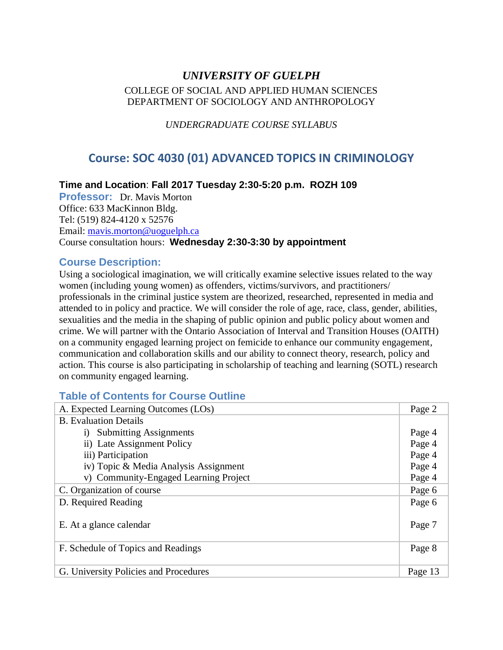# *UNIVERSITY OF GUELPH* COLLEGE OF SOCIAL AND APPLIED HUMAN SCIENCES DEPARTMENT OF SOCIOLOGY AND ANTHROPOLOGY

*UNDERGRADUATE COURSE SYLLABUS*

# **Course: SOC 4030 (01) ADVANCED TOPICS IN CRIMINOLOGY**

## **Time and Location**: **Fall 2017 Tuesday 2:30-5:20 p.m. ROZH 109**

**Professor:** Dr. Mavis Morton Office: 633 MacKinnon Bldg. Tel: (519) 824-4120 x 52576 Email: mavis.morton@uoguelph.ca Course consultation hours: **Wednesday 2:30-3:30 by appointment**

## **Course Description:**

Using a sociological imagination, we will critically examine selective issues related to the way women (including young women) as offenders, victims/survivors, and practitioners/ professionals in the criminal justice system are theorized, researched, represented in media and attended to in policy and practice. We will consider the role of age, race, class, gender, abilities, sexualities and the media in the shaping of public opinion and public policy about women and crime. We will partner with the Ontario Association of Interval and Transition Houses (OAITH) on a community engaged learning project on femicide to enhance our community engagement, communication and collaboration skills and our ability to connect theory, research, policy and action. This course is also participating in scholarship of teaching and learning (SOTL) research on community engaged learning.

# **Table of Contents for Course Outline**

| A. Expected Learning Outcomes (LOs)   |         |  |  |  |
|---------------------------------------|---------|--|--|--|
| <b>B.</b> Evaluation Details          |         |  |  |  |
| i) Submitting Assignments             |         |  |  |  |
| ii) Late Assignment Policy            |         |  |  |  |
| iii) Participation                    |         |  |  |  |
| iv) Topic & Media Analysis Assignment | Page 4  |  |  |  |
| v) Community-Engaged Learning Project | Page 4  |  |  |  |
| C. Organization of course             | Page 6  |  |  |  |
| D. Required Reading                   |         |  |  |  |
| E. At a glance calendar               | Page 7  |  |  |  |
| F. Schedule of Topics and Readings    | Page 8  |  |  |  |
| G. University Policies and Procedures | Page 13 |  |  |  |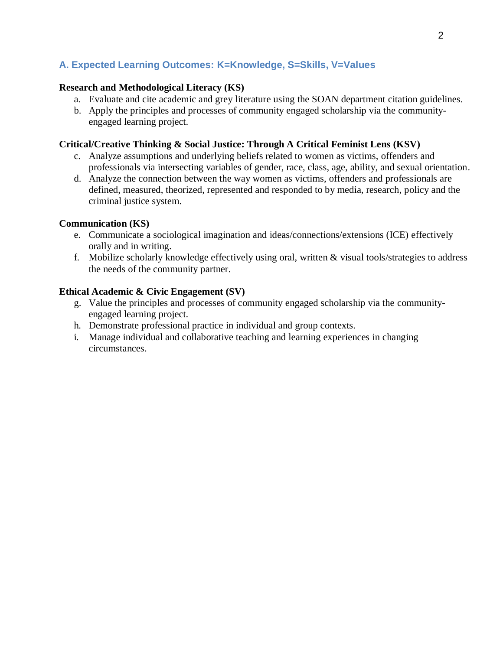# **A. Expected Learning Outcomes: K=Knowledge, S=Skills, V=Values**

## **Research and Methodological Literacy (KS)**

- a. Evaluate and cite academic and grey literature using the SOAN department citation guidelines.
- b. Apply the principles and processes of community engaged scholarship via the communityengaged learning project.

## **Critical/Creative Thinking & Social Justice: Through A Critical Feminist Lens (KSV)**

- c. Analyze assumptions and underlying beliefs related to women as victims, offenders and professionals via intersecting variables of gender, race, class, age, ability, and sexual orientation.
- d. Analyze the connection between the way women as victims, offenders and professionals are defined, measured, theorized, represented and responded to by media, research, policy and the criminal justice system.

## **Communication (KS)**

- e. Communicate a sociological imagination and ideas/connections/extensions (ICE) effectively orally and in writing.
- f. Mobilize scholarly knowledge effectively using oral, written & visual tools/strategies to address the needs of the community partner.

## **Ethical Academic & Civic Engagement (SV)**

- g. Value the principles and processes of community engaged scholarship via the communityengaged learning project.
- h. Demonstrate professional practice in individual and group contexts.
- i. Manage individual and collaborative teaching and learning experiences in changing circumstances.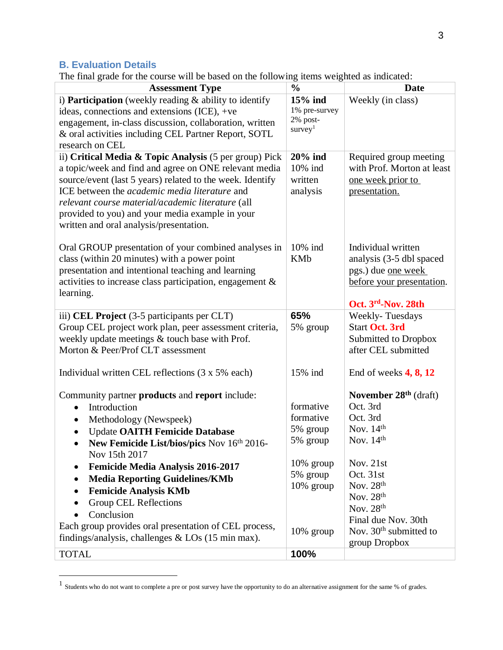# **B. Evaluation Details**

 $\overline{a}$ 

The final grade for the course will be based on the following items weighted as indicated:

| <b>Assessment Type</b>                                                                                                                                                                                                                                                                                                                                                                                                                                                                    | $\frac{0}{0}$                                                                                           | <b>Date</b>                                                                                                                                                                                           |
|-------------------------------------------------------------------------------------------------------------------------------------------------------------------------------------------------------------------------------------------------------------------------------------------------------------------------------------------------------------------------------------------------------------------------------------------------------------------------------------------|---------------------------------------------------------------------------------------------------------|-------------------------------------------------------------------------------------------------------------------------------------------------------------------------------------------------------|
| i) <b>Participation</b> (weekly reading $\&$ ability to identify<br>ideas, connections and extensions (ICE), +ve<br>engagement, in-class discussion, collaboration, written<br>& oral activities including CEL Partner Report, SOTL<br>research on CEL                                                                                                                                                                                                                                    | 15% ind<br>1% pre-survey<br>2% post-<br>survey <sup>1</sup>                                             | Weekly (in class)                                                                                                                                                                                     |
| ii) Critical Media & Topic Analysis $(5 \text{ per group})$ Pick<br>a topic/week and find and agree on ONE relevant media<br>source/event (last 5 years) related to the week. Identify<br>ICE between the <i>academic media literature</i> and<br>relevant course material/academic literature (all<br>provided to you) and your media example in your<br>written and oral analysis/presentation.                                                                                         | $20\%$ ind<br>10% ind<br>written<br>analysis                                                            | Required group meeting<br>with Prof. Morton at least<br>one week prior to<br>presentation.                                                                                                            |
| Oral GROUP presentation of your combined analyses in<br>class (within 20 minutes) with a power point<br>presentation and intentional teaching and learning<br>activities to increase class participation, engagement &<br>learning.                                                                                                                                                                                                                                                       | 10% ind<br><b>KMb</b>                                                                                   | Individual written<br>analysis (3-5 dbl spaced<br>pgs.) due <u>one</u> week<br>before your presentation.<br>Oct. 3rd-Nov. 28th                                                                        |
| iii) CEL Project (3-5 participants per CLT)<br>Group CEL project work plan, peer assessment criteria,<br>weekly update meetings & touch base with Prof.<br>Morton & Peer/Prof CLT assessment                                                                                                                                                                                                                                                                                              | 65%<br>5% group                                                                                         | <b>Weekly-Tuesdays</b><br><b>Start Oct. 3rd</b><br>Submitted to Dropbox<br>after CEL submitted                                                                                                        |
| Individual written CEL reflections (3 x 5% each)                                                                                                                                                                                                                                                                                                                                                                                                                                          | 15% ind                                                                                                 | End of weeks $4, 8, 12$                                                                                                                                                                               |
| Community partner products and report include:<br>Introduction<br>Methodology (Newspeek)<br>$\bullet$<br><b>Update OAITH Femicide Database</b><br>New Femicide List/bios/pics Nov 16th 2016-<br>Nov 15th 2017<br><b>Femicide Media Analysis 2016-2017</b><br><b>Media Reporting Guidelines/KMb</b><br><b>Femicide Analysis KMb</b><br>Group CEL Reflections<br>Conclusion<br>Each group provides oral presentation of CEL process,<br>findings/analysis, challenges $&$ LOs (15 min max). | formative<br>formative<br>5% group<br>5% group<br>$10\%$ group<br>5% group<br>$10\%$ group<br>10% group | November $28th$ (draft)<br>Oct. 3rd<br>Oct. 3rd<br>Nov. $14th$<br>Nov. $14th$<br>Nov. 21st<br>Oct. 31st<br>Nov. $28th$<br>Nov. $28th$<br>Nov. 28th<br>Final due Nov. 30th<br>Nov. $30th$ submitted to |
| <b>TOTAL</b>                                                                                                                                                                                                                                                                                                                                                                                                                                                                              | 100%                                                                                                    | group Dropbox                                                                                                                                                                                         |
|                                                                                                                                                                                                                                                                                                                                                                                                                                                                                           |                                                                                                         |                                                                                                                                                                                                       |

 $<sup>1</sup>$  Students who do not want to complete a pre or post survey have the opportunity to do an alternative assignment for the same % of grades.</sup>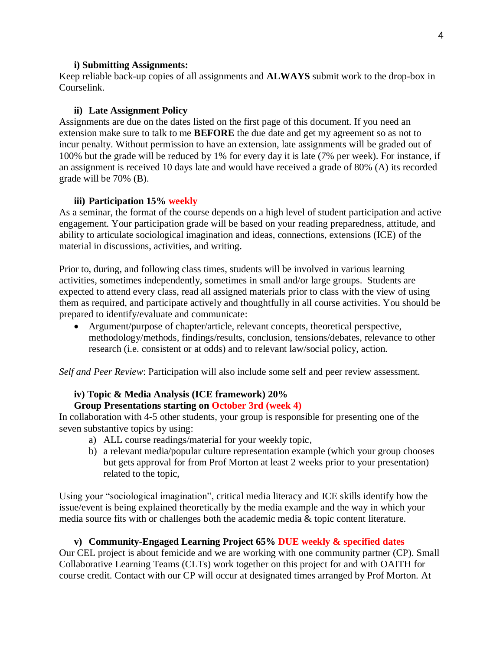#### **i) Submitting Assignments:**

Keep reliable back-up copies of all assignments and **ALWAYS** submit work to the drop-box in Courselink.

#### **ii) Late Assignment Policy**

Assignments are due on the dates listed on the first page of this document. If you need an extension make sure to talk to me **BEFORE** the due date and get my agreement so as not to incur penalty. Without permission to have an extension, late assignments will be graded out of 100% but the grade will be reduced by 1% for every day it is late (7% per week). For instance, if an assignment is received 10 days late and would have received a grade of 80% (A) its recorded grade will be 70% (B).

#### **iii) Participation 15% weekly**

As a seminar, the format of the course depends on a high level of student participation and active engagement. Your participation grade will be based on your reading preparedness, attitude, and ability to articulate sociological imagination and ideas, connections, extensions (ICE) of the material in discussions, activities, and writing.

Prior to, during, and following class times, students will be involved in various learning activities, sometimes independently, sometimes in small and/or large groups. Students are expected to attend every class, read all assigned materials prior to class with the view of using them as required, and participate actively and thoughtfully in all course activities. You should be prepared to identify/evaluate and communicate:

• Argument/purpose of chapter/article, relevant concepts, theoretical perspective, methodology/methods, findings/results, conclusion, tensions/debates, relevance to other research (i.e. consistent or at odds) and to relevant law/social policy, action.

*Self and Peer Review*: Participation will also include some self and peer review assessment.

# **iv) Topic & Media Analysis (ICE framework) 20%**

## **Group Presentations starting on October 3rd (week 4)**

In collaboration with 4-5 other students, your group is responsible for presenting one of the seven substantive topics by using:

- a) ALL course readings/material for your weekly topic,
- b) a relevant media/popular culture representation example (which your group chooses but gets approval for from Prof Morton at least 2 weeks prior to your presentation) related to the topic,

Using your "sociological imagination", critical media literacy and ICE skills identify how the issue/event is being explained theoretically by the media example and the way in which your media source fits with or challenges both the academic media & topic content literature.

#### **v) Community-Engaged Learning Project 65% DUE weekly & specified dates**

Our CEL project is about femicide and we are working with one community partner (CP). Small Collaborative Learning Teams (CLTs) work together on this project for and with OAITH for course credit. Contact with our CP will occur at designated times arranged by Prof Morton. At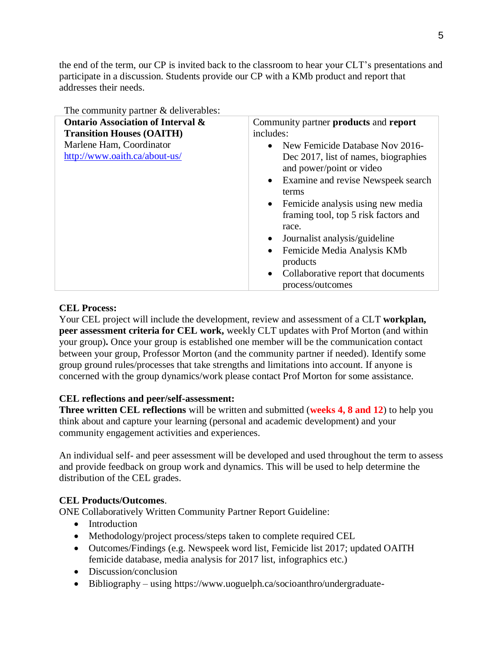the end of the term, our CP is invited back to the classroom to hear your CLT's presentations and participate in a discussion. Students provide our CP with a KMb product and report that addresses their needs.

| The community partner & deliverables:                                            |                                                                                                                                                                                                                                                                                                                                                                                                                                                               |
|----------------------------------------------------------------------------------|---------------------------------------------------------------------------------------------------------------------------------------------------------------------------------------------------------------------------------------------------------------------------------------------------------------------------------------------------------------------------------------------------------------------------------------------------------------|
| <b>Ontario Association of Interval &amp;</b><br><b>Transition Houses (OAITH)</b> | Community partner <b>products</b> and <b>report</b><br>includes:                                                                                                                                                                                                                                                                                                                                                                                              |
| Marlene Ham, Coordinator<br>http://www.oaith.ca/about-us/                        | New Femicide Database Nov 2016-<br>$\bullet$<br>Dec 2017, list of names, biographies<br>and power/point or video<br>Examine and revise Newspeek search<br>$\bullet$<br>terms<br>Femicide analysis using new media<br>$\bullet$<br>framing tool, top 5 risk factors and<br>race.<br>Journalist analysis/guideline<br>$\bullet$<br>Femicide Media Analysis KMb<br>$\bullet$<br>products<br>Collaborative report that documents<br>$\bullet$<br>process/outcomes |

## **CEL Process:**

Your CEL project will include the development, review and assessment of a CLT **workplan, peer assessment criteria for CEL work,** weekly CLT updates with Prof Morton (and within your group)**.** Once your group is established one member will be the communication contact between your group, Professor Morton (and the community partner if needed). Identify some group ground rules/processes that take strengths and limitations into account. If anyone is concerned with the group dynamics/work please contact Prof Morton for some assistance.

## **CEL reflections and peer/self-assessment:**

**Three written CEL reflections** will be written and submitted (**weeks 4, 8 and 12**) to help you think about and capture your learning (personal and academic development) and your community engagement activities and experiences.

An individual self- and peer assessment will be developed and used throughout the term to assess and provide feedback on group work and dynamics. This will be used to help determine the distribution of the CEL grades.

## **CEL Products/Outcomes**.

ONE Collaboratively Written Community Partner Report Guideline:

- Introduction
- Methodology/project process/steps taken to complete required CEL
- Outcomes/Findings (e.g. Newspeek word list, Femicide list 2017; updated OAITH femicide database, media analysis for 2017 list, infographics etc.)
- Discussion/conclusion
- Bibliography using [https://www.uoguelph.ca/socioanthro/undergraduate-](https://www.uoguelph.ca/socioanthro/undergraduate-studies/citation-style-requirements)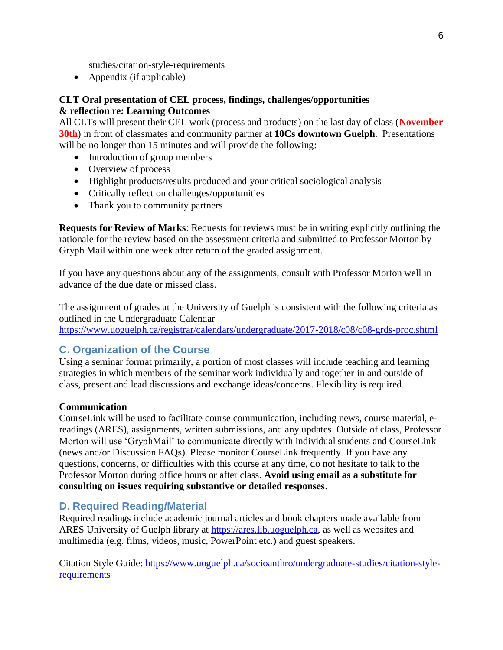[studies/citation-style-requirements](https://www.uoguelph.ca/socioanthro/undergraduate-studies/citation-style-requirements)

• Appendix (if applicable)

## **CLT Oral presentation of CEL process, findings, challenges/opportunities & reflection re: Learning Outcomes**

All CLTs will present their CEL work (process and products) on the last day of class (**November 30th**) in front of classmates and community partner at **10Cs downtown Guelph**. Presentations will be no longer than 15 minutes and will provide the following:

- Introduction of group members
- Overview of process
- Highlight products/results produced and your critical sociological analysis
- Critically reflect on challenges/opportunities
- Thank you to community partners

**Requests for Review of Marks**: Requests for reviews must be in writing explicitly outlining the rationale for the review based on the assessment criteria and submitted to Professor Morton by Gryph Mail within one week after return of the graded assignment.

If you have any questions about any of the assignments, consult with Professor Morton well in advance of the due date or missed class.

The assignment of grades at the University of Guelph is consistent with the following criteria as outlined in the Undergraduate Calendar <https://www.uoguelph.ca/registrar/calendars/undergraduate/2017-2018/c08/c08-grds-proc.shtml>

# **C. Organization of the Course**

Using a seminar format primarily, a portion of most classes will include teaching and learning strategies in which members of the seminar work individually and together in and outside of class, present and lead discussions and exchange ideas/concerns. Flexibility is required.

## **Communication**

CourseLink will be used to facilitate course communication, including news, course material, ereadings (ARES), assignments, written submissions, and any updates. Outside of class, Professor Morton will use 'GryphMail' to communicate directly with individual students and CourseLink (news and/or Discussion FAQs). Please monitor CourseLink frequently. If you have any questions, concerns, or difficulties with this course at any time, do not hesitate to talk to the Professor Morton during office hours or after class. **Avoid using email as a substitute for consulting on issues requiring substantive or detailed responses**.

## **D. Required Reading/Material**

Required readings include academic journal articles and book chapters made available from ARES University of Guelph library at https://ares.lib.uoguelph.ca, as well as websites and multimedia (e.g. films, videos, music, PowerPoint etc.) and guest speakers.

Citation Style Guide: [https://www.uoguelph.ca/socioanthro/undergraduate-studies/citation-style](https://www.uoguelph.ca/socioanthro/undergraduate-studies/citation-style-requirements)[requirements](https://www.uoguelph.ca/socioanthro/undergraduate-studies/citation-style-requirements)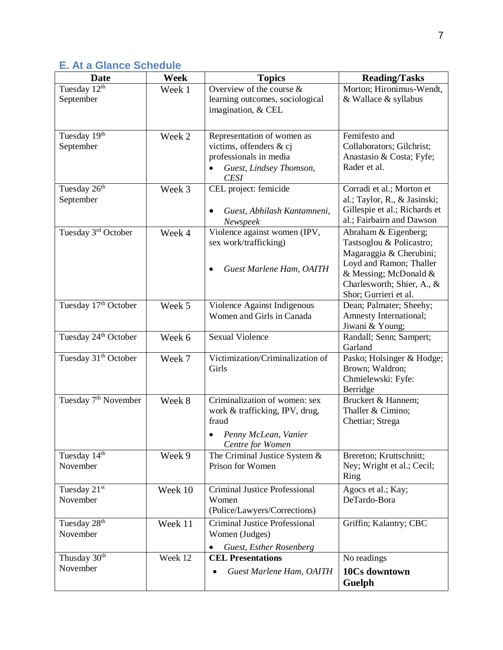# **E. At a Glance Schedule**

| <b>Date</b>                           | Week    | <b>Topics</b>                                                                                                             | <b>Reading/Tasks</b>                                                                                                                                                                   |
|---------------------------------------|---------|---------------------------------------------------------------------------------------------------------------------------|----------------------------------------------------------------------------------------------------------------------------------------------------------------------------------------|
| Tuesday 12th<br>September             | Week 1  | Overview of the course $\&$<br>learning outcomes, sociological<br>imagination, & CEL                                      | Morton; Hironimus-Wendt,<br>& Wallace & syllabus                                                                                                                                       |
| Tuesday 19th<br>September             | Week 2  | Representation of women as<br>victims, offenders & cj<br>professionals in media<br>Guest, Lindsey Thomson,<br><b>CESI</b> | Femifesto and<br>Collaborators; Gilchrist;<br>Anastasio & Costa; Fyfe;<br>Rader et al.                                                                                                 |
| Tuesday 26 <sup>th</sup><br>September | Week 3  | CEL project: femicide<br>Guest, Abhilash Kantamneni,<br>Newspeek                                                          | Corradi et al.; Morton et<br>al.; Taylor, R., & Jasinski;<br>Gillespie et al.; Richards et<br>al.; Fairbairn and Dawson                                                                |
| Tuesday 3 <sup>rd</sup> October       | Week 4  | Violence against women (IPV,<br>sex work/trafficking)<br>Guest Marlene Ham, OAITH                                         | Abraham & Eigenberg;<br>Tastsoglou & Policastro;<br>Magaraggia & Cherubini;<br>Loyd and Ramon; Thaller<br>& Messing; McDonald &<br>Charlesworth; Shier, A., &<br>Shor; Gurrieri et al. |
| Tuesday 17th October                  | Week 5  | Violence Against Indigenous<br>Women and Girls in Canada                                                                  | Dean; Palmater; Sheehy;<br>Amnesty International;<br>Jiwani & Young;                                                                                                                   |
| Tuesday 24 <sup>th</sup> October      | Week 6  | <b>Sexual Violence</b>                                                                                                    | Randall; Senn; Sampert;<br>Garland                                                                                                                                                     |
| Tuesday 31 <sup>th</sup> October      | Week 7  | Victimization/Criminalization of<br>Girls                                                                                 | Pasko; Holsinger & Hodge;<br>Brown; Waldron;<br>Chmielewski: Fyfe:<br>Berridge                                                                                                         |
| Tuesday 7 <sup>th</sup> November      | Week 8  | Criminalization of women: sex<br>work & trafficking, IPV, drug,<br>fraud<br>Penny McLean, Vanier<br>Centre for Women      | Bruckert & Hannem;<br>Thaller & Cimino;<br>Chettiar; Strega                                                                                                                            |
| Tuesday 14th<br>November              | Week 9  | The Criminal Justice System &<br>Prison for Women                                                                         | Brereton; Kruttschnitt;<br>Ney; Wright et al.; Cecil;<br>Ring                                                                                                                          |
| Tuesday 21st<br>November              | Week 10 | Criminal Justice Professional<br>Women<br>(Police/Lawyers/Corrections)                                                    | Agocs et al.; Kay;<br>DeTardo-Bora                                                                                                                                                     |
| Tuesday 28 <sup>th</sup><br>November  | Week 11 | Criminal Justice Professional<br>Women (Judges)<br>Guest, Esther Rosenberg                                                | Griffin; Kalantry; CBC                                                                                                                                                                 |
| Thusday 30 <sup>th</sup>              | Week 12 | <b>CEL Presentations</b>                                                                                                  | No readings                                                                                                                                                                            |
| November                              |         | Guest Marlene Ham, OAITH                                                                                                  | 10Cs downtown<br>Guelph                                                                                                                                                                |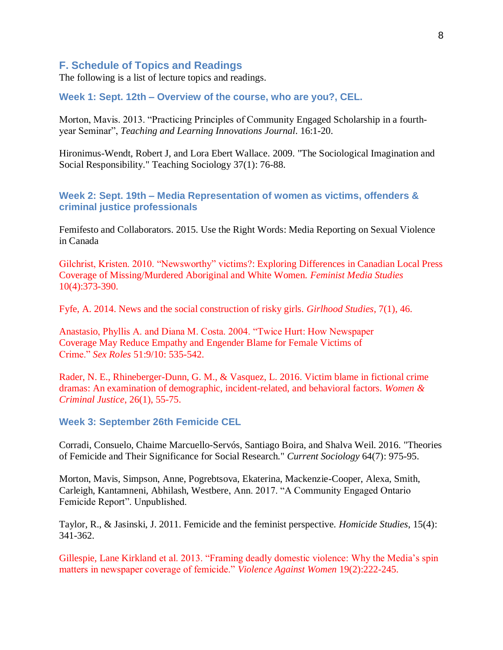## **F. Schedule of Topics and Readings**

The following is a list of lecture topics and readings.

## **Week 1: Sept. 12th – Overview of the course, who are you?, CEL.**

Morton, Mavis. 2013. "Practicing Principles of Community Engaged Scholarship in a fourthyear Seminar", *Teaching and Learning Innovations Journal*. 16:1-20.

Hironimus-Wendt, Robert J, and Lora Ebert Wallace. 2009. "The Sociological Imagination and Social Responsibility." Teaching Sociology 37(1): 76-88.

**Week 2: Sept. 19th** *–* **Media Representation of women as victims, offenders & criminal justice professionals** 

Femifesto and Collaborators. 2015. Use the Right Words: Media Reporting on Sexual Violence in Canada

Gilchrist, Kristen. 2010. "Newsworthy" victims?: Exploring Differences in Canadian Local Press Coverage of Missing/Murdered Aboriginal and White Women. *Feminist Media Studies* 10(4):373-390.

Fyfe, A. 2014. News and the social construction of risky girls. *Girlhood Studies*, 7(1), 46.

Anastasio, Phyllis A. and Diana M. Costa. 2004. "Twice Hurt: How Newspaper Coverage May Reduce Empathy and Engender Blame for Female Victims of Crime." *Sex Roles* 51:9/10: 535-542.

Rader, N. E., Rhineberger-Dunn, G. M., & Vasquez, L. 2016. Victim blame in fictional crime dramas: An examination of demographic, incident-related, and behavioral factors. *Women & Criminal Justice*, 26(1), 55-75.

#### **Week 3: September 26th Femicide CEL**

Corradi, Consuelo, Chaime Marcuello-Servós, Santiago Boira, and Shalva Weil. 2016. "Theories of Femicide and Their Significance for Social Research." *Current Sociology* 64(7): 975-95.

Morton, Mavis, Simpson, Anne, Pogrebtsova, Ekaterina, Mackenzie-Cooper, Alexa, Smith, Carleigh, Kantamneni, Abhilash, Westbere, Ann. 2017. "A Community Engaged Ontario Femicide Report". Unpublished.

Taylor, R., & Jasinski, J. 2011. Femicide and the feminist perspective. *Homicide Studies*, 15(4): 341-362.

Gillespie, Lane Kirkland et al. 2013. "Framing deadly domestic violence: Why the Media's spin matters in newspaper coverage of femicide." *Violence Against Women* 19(2):222-245.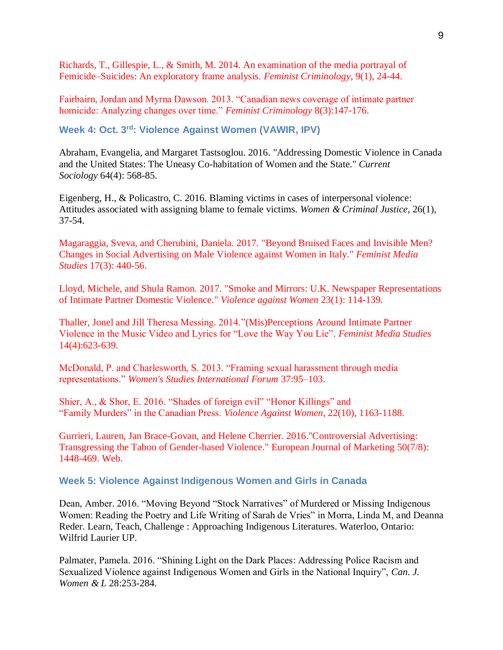Richards, T., Gillespie, L., & Smith, M. 2014. An examination of the media portrayal of Femicide–Suicides: An exploratory frame analysis. *Feminist Criminology*, 9(1), 24-44.

Fairbairn, Jordan and Myrna Dawson. 2013. "Canadian news coverage of intimate partner homicide: Analyzing changes over time." *Feminist Criminology* 8(3):147-176.

Week 4: Oct. 3<sup>rd</sup>: Violence Against Women (VAWIR, IPV)

Abraham, Evangelia, and Margaret Tastsoglou. 2016. "Addressing Domestic Violence in Canada and the United States: The Uneasy Co-habitation of Women and the State." *Current Sociology* 64(4): 568-85.

Eigenberg, H., & Policastro, C. 2016. Blaming victims in cases of interpersonal violence: Attitudes associated with assigning blame to female victims. *Women & Criminal Justice*, 26(1), 37-54.

Magaraggia, Sveva, and Cherubini, Daniela. 2017. "Beyond Bruised Faces and Invisible Men? Changes in Social Advertising on Male Violence against Women in Italy." *Feminist Media Studies* 17(3): 440-56.

Lloyd, Michele, and Shula Ramon. 2017. "Smoke and Mirrors: U.K. Newspaper Representations of Intimate Partner Domestic Violence." *Violence against Women* 23(1): 114-139.

Thaller, Jonel and Jill Theresa Messing. 2014.["\(Mis\)Perceptions Around Intimate Partner](http://www.tandfonline.com.subzero.lib.uoguelph.ca/doi/abs/10.1080/14680777.2013.826267)  [Violence in the Music Video and Lyrics for "Love the Way You Lie".](http://www.tandfonline.com.subzero.lib.uoguelph.ca/doi/abs/10.1080/14680777.2013.826267) *Feminist Media Studies* 14(4):623-639.

McDonald, P. and Charlesworth, S. 2013. "Framing sexual harassment through media representations." *Women's Studies International Forum* 37:95–103.

Shier, A., & Shor, E. 2016. "Shades of foreign evil" "Honor Killings" and "Family Murders" in the Canadian Press. *Violence Against Women*, 22(10), 1163-1188.

Gurrieri, Lauren, Jan Brace-Govan, and Helene Cherrier. 2016."Controversial Advertising: Transgressing the Taboo of Gender-based Violence." European Journal of Marketing 50(7/8): 1448-469. Web.

#### **Week 5: Violence Against Indigenous Women and Girls in Canada**

Dean, Amber. 2016. "Moving Beyond "Stock Narratives" of Murdered or Missing Indigenous Women: Reading the Poetry and Life Writing of Sarah de Vries" in Morra, Linda M, and Deanna Reder. Learn, Teach, Challenge : Approaching Indigenous Literatures. Waterloo, Ontario: Wilfrid Laurier UP.

Palmater, Pamela. 2016. "Shining Light on the Dark Places: Addressing Police Racism and Sexualized Violence against Indigenous Women and Girls in the National Inquiry", *Can. J. Women & L* 28:253-284.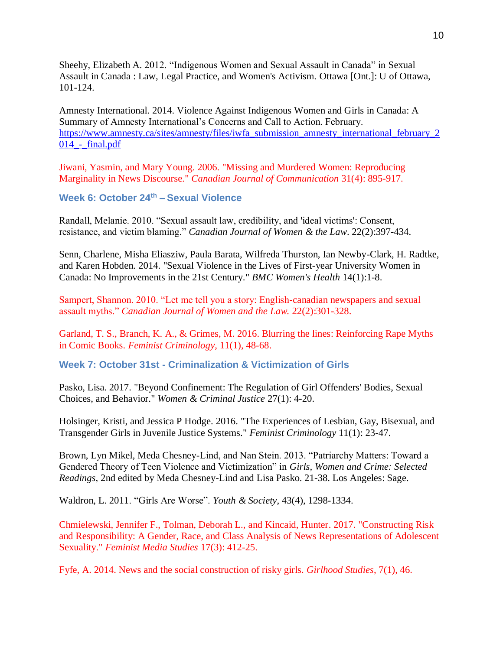Sheehy, Elizabeth A. 2012. "Indigenous Women and Sexual Assault in Canada" in Sexual Assault in Canada : Law, Legal Practice, and Women's Activism. Ottawa [Ont.]: U of Ottawa, 101-124.

Amnesty International. 2014. Violence Against Indigenous Women and Girls in Canada: A Summary of Amnesty International's Concerns and Call to Action. February. [https://www.amnesty.ca/sites/amnesty/files/iwfa\\_submission\\_amnesty\\_international\\_february\\_2](https://www.amnesty.ca/sites/amnesty/files/iwfa_submission_amnesty_international_february_2014_-_final.pdf) [014\\_-\\_final.pdf](https://www.amnesty.ca/sites/amnesty/files/iwfa_submission_amnesty_international_february_2014_-_final.pdf)

Jiwani, Yasmin, and Mary Young. 2006. "Missing and Murdered Women: Reproducing Marginality in News Discourse." *Canadian Journal of Communication* 31(4): 895-917.

**Week 6: October 24th – Sexual Violence** 

Randall, Melanie. 2010. "Sexual assault law, credibility, and 'ideal victims': Consent, resistance, and victim blaming." *Canadian Journal of Women & the Law*. 22(2):397-434.

Senn, Charlene, Misha Eliasziw, Paula Barata, Wilfreda Thurston, Ian Newby-Clark, H. Radtke, and Karen Hobden. 2014. "Sexual Violence in the Lives of First-year University Women in Canada: No Improvements in the 21st Century." *BMC Women's Health* 14(1):1-8.

Sampert, Shannon. 2010. "Let me tell you a story: English-canadian newspapers and sexual assault myths." *Canadian Journal of Women and the Law.* 22(2):301-328.

Garland, T. S., Branch, K. A., & Grimes, M. 2016. Blurring the lines: Reinforcing Rape Myths in Comic Books. *Feminist Criminology*, 11(1), 48-68.

**Week 7: October 31st - Criminalization & Victimization of Girls** 

Pasko, Lisa. 2017. "Beyond Confinement: The Regulation of Girl Offenders' Bodies, Sexual Choices, and Behavior." *Women & Criminal Justice* 27(1): 4-20.

Holsinger, Kristi, and Jessica P Hodge. 2016. "The Experiences of Lesbian, Gay, Bisexual, and Transgender Girls in Juvenile Justice Systems." *Feminist Criminology* 11(1): 23-47.

Brown, Lyn Mikel, Meda Chesney-Lind, and Nan Stein. 2013. "Patriarchy Matters: Toward a Gendered Theory of Teen Violence and Victimization" in *Girls, Women and Crime: Selected Readings*, 2nd edited by Meda Chesney-Lind and Lisa Pasko. 21-38. Los Angeles: Sage.

Waldron, L. 2011. "Girls Are Worse". *Youth & Society*, 43(4), 1298-1334.

Chmielewski, Jennifer F., Tolman, Deborah L., and Kincaid, Hunter. 2017. "Constructing Risk and Responsibility: A Gender, Race, and Class Analysis of News Representations of Adolescent Sexuality." *Feminist Media Studies* 17(3): 412-25.

Fyfe, A. 2014. News and the social construction of risky girls. *Girlhood Studies*, 7(1), 46.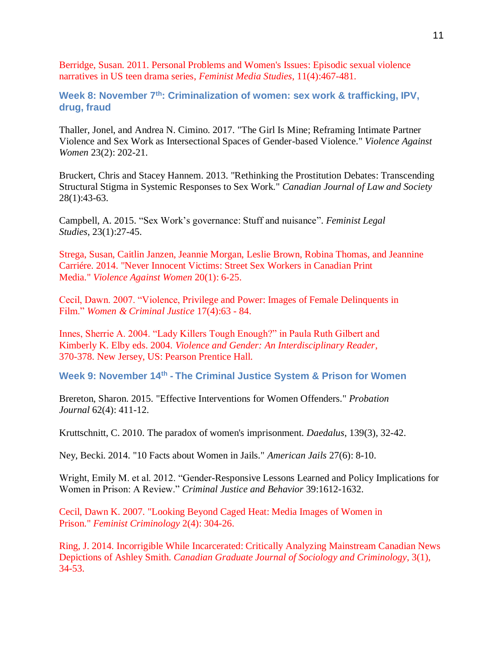Berridge, Susan. 2011. Personal Problems and Women's Issues: Episodic sexual violence narratives in US teen drama series, *Feminist Media Studies*, 11(4):467-481.

**Week 8: November 7th: Criminalization of women: sex work & trafficking, IPV, drug, fraud** 

Thaller, Jonel, and Andrea N. Cimino. 2017. "The Girl Is Mine; Reframing Intimate Partner Violence and Sex Work as Intersectional Spaces of Gender-based Violence." *Violence Against Women* 23(2): 202-21.

Bruckert, Chris and Stacey Hannem. 2013. "Rethinking the Prostitution Debates: Transcending Structural Stigma in Systemic Responses to Sex Work." *Canadian Journal of Law and Society*  28(1):43-63.

Campbell, A. 2015. "Sex Work's governance: Stuff and nuisance". *Feminist Legal Studies*, 23(1):27-45.

Strega, Susan, Caitlin Janzen, Jeannie Morgan, Leslie Brown, Robina Thomas, and Jeannine Carriére. 2014. "Never Innocent Victims: Street Sex Workers in Canadian Print Media." *Violence Against Women* 20(1): 6-25.

Cecil, Dawn. 2007. "Violence, Privilege and Power: Images of Female Delinquents in Film." *Women & Criminal Justice* 17(4):63 - 84.

Innes, Sherrie A. 2004. "Lady Killers Tough Enough?" in Paula Ruth Gilbert and Kimberly K. Elby eds. 2004. *Violence and Gender: An Interdisciplinary Reader*, 370-378. New Jersey, US: Pearson Prentice Hall.

**Week 9: November 14th - The Criminal Justice System & Prison for Women**

Brereton, Sharon. 2015. "Effective Interventions for Women Offenders." *Probation Journal* 62(4): 411-12.

Kruttschnitt, C. 2010. The paradox of women's imprisonment. *Daedalus*, 139(3), 32-42.

Ney, Becki. 2014. "10 Facts about Women in Jails." *American Jails* 27(6): 8-10.

Wright, Emily M. et al. 2012. "Gender-Responsive Lessons Learned and Policy Implications for Women in Prison: A Review." *Criminal Justice and Behavior* 39:1612-1632.

Cecil, Dawn K. 2007. "Looking Beyond Caged Heat: Media Images of Women in Prison." *Feminist Criminology* 2(4): 304-26.

Ring, J. 2014. Incorrigible While Incarcerated: Critically Analyzing Mainstream Canadian News Depictions of Ashley Smith. *Canadian Graduate Journal of Sociology and Criminology*, 3(1), 34-53.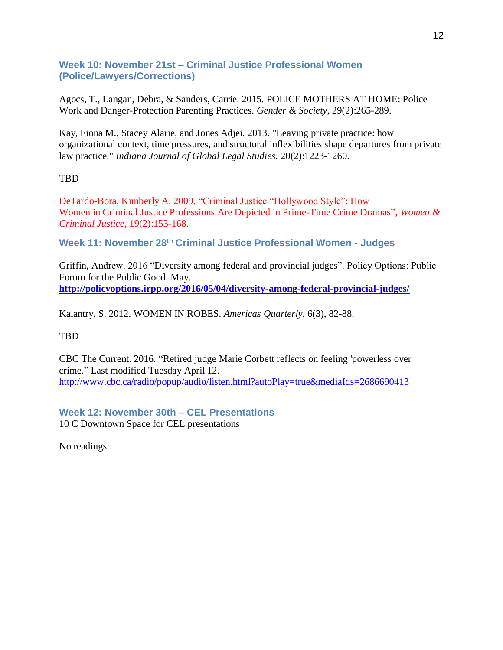## **Week 10: November 21st – Criminal Justice Professional Women (Police/Lawyers/Corrections)**

Agocs, T., Langan, Debra, & Sanders, Carrie. 2015. POLICE MOTHERS AT HOME: Police Work and Danger-Protection Parenting Practices. *Gender & Society*, 29(2):265-289.

Kay, Fiona M., Stacey Alarie, and Jones Adjei. 2013. "Leaving private practice: how organizational context, time pressures, and structural inflexibilities shape departures from private law practice." *Indiana Journal of Global Legal Studies.* 20(2):1223-1260.

## TBD

DeTardo-Bora, Kimberly A. 2009. "Criminal Justice "Hollywood Style": How Women in Criminal Justice Professions Are Depicted in Prime-Time Crime Dramas", *Women & Criminal Justice*, 19(2):153-168.

**Week 11: November 28th Criminal Justice Professional Women - Judges**

Griffin, Andrew. 2016 "Diversity among federal and provincial judges". Policy Options: Public Forum for the Public Good. May. **<http://policyoptions.irpp.org/2016/05/04/diversity-among-federal-provincial-judges/>**

Kalantry, S. 2012. WOMEN IN ROBES. *Americas Quarterly*, 6(3), 82-88.

## TBD

CBC The Current. 2016. "Retired judge Marie Corbett reflects on feeling 'powerless over crime." Last modified Tuesday April 12. <http://www.cbc.ca/radio/popup/audio/listen.html?autoPlay=true&mediaIds=2686690413>

**Week 12: November 30th – CEL Presentations** 10 C Downtown Space for CEL presentations

No readings.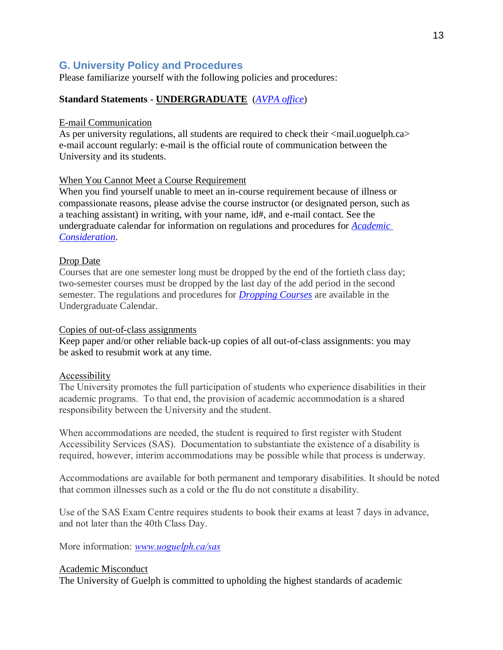# **G. University Policy and Procedures**

Please familiarize yourself with the following policies and procedures:

## **Standard Statements - UNDERGRADUATE** (*[AVPA office](http://www.uoguelph.ca/vpacademic/avpa/checklist)*)

#### E-mail Communication

As per university regulations, all students are required to check their  $\langle$ mail.uoguelph.ca> e-mail account regularly: e-mail is the official route of communication between the University and its students.

## When You Cannot Meet a Course Requirement

When you find yourself unable to meet an in-course requirement because of illness or compassionate reasons, please advise the course instructor (or designated person, such as a teaching assistant) in writing, with your name, id#, and e-mail contact. See the undergraduate calendar for information on regulations and procedures for *[Academic](https://www.uoguelph.ca/registrar/calendars/undergraduate/current/c08/c08-ac.shtml)  [Consideration](https://www.uoguelph.ca/registrar/calendars/undergraduate/current/c08/c08-ac.shtml)*.

## Drop Date

Courses that are one semester long must be dropped by the end of the fortieth class day; two-semester courses must be dropped by the last day of the add period in the second semester. The regulations and procedures for *[Dropping Courses](https://www.uoguelph.ca/registrar/calendars/undergraduate/current/c08/c08-drop.shtml)* are available in the Undergraduate Calendar.

#### Copies of out-of-class assignments

Keep paper and/or other reliable back-up copies of all out-of-class assignments: you may be asked to resubmit work at any time.

## Accessibility

The University promotes the full participation of students who experience disabilities in their academic programs. To that end, the provision of academic accommodation is a shared responsibility between the University and the student.

When accommodations are needed, the student is required to first register with Student Accessibility Services (SAS). Documentation to substantiate the existence of a disability is required, however, interim accommodations may be possible while that process is underway.

Accommodations are available for both permanent and temporary disabilities. It should be noted that common illnesses such as a cold or the flu do not constitute a disability.

Use of the SAS Exam Centre requires students to book their exams at least 7 days in advance, and not later than the 40th Class Day.

More information: *[www.uoguelph.ca/sas](http://www.uoguelph.ca/sas)*

## Academic Misconduct

The University of Guelph is committed to upholding the highest standards of academic